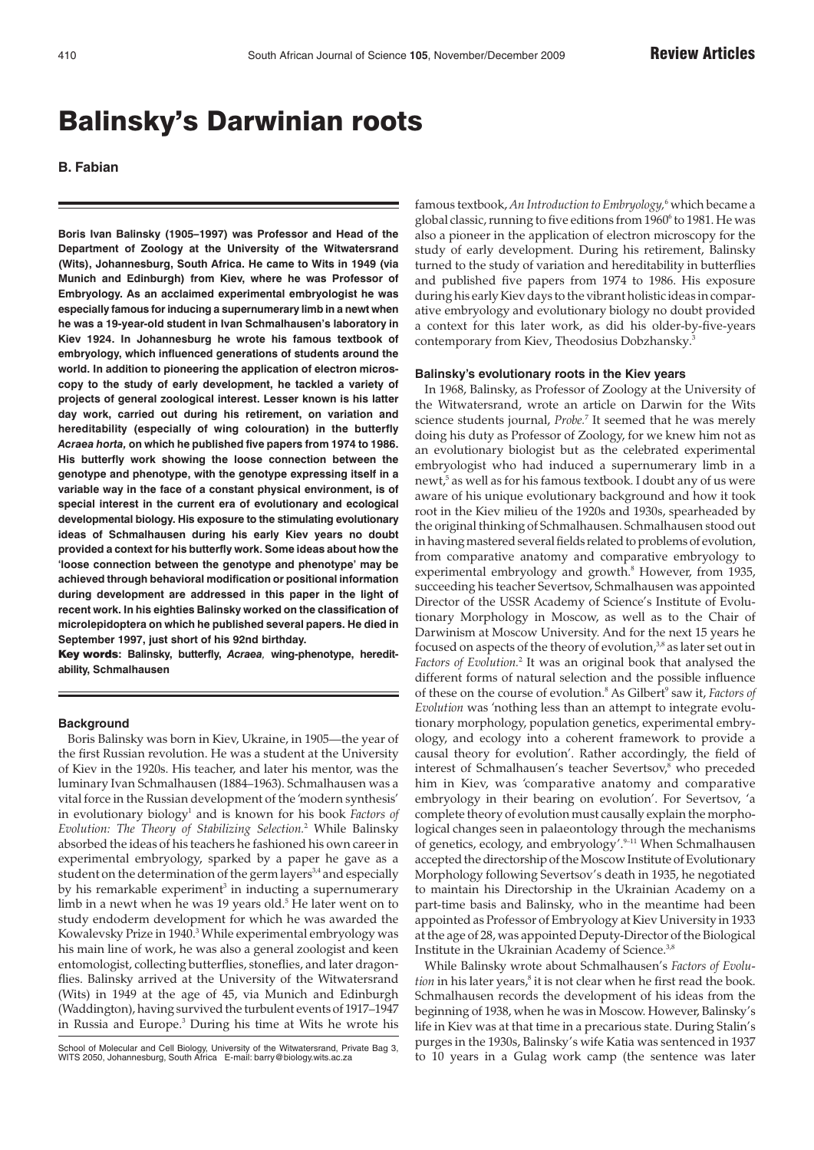# Balinsky's Darwinian roots

**B. Fabian**

**Boris Ivan Balinsky (1905–1997) was Professor and Head of the Department of Zoology at the University of the Witwatersrand (Wits), Johannesburg, South Africa. He came to Wits in 1949 (via Munich and Edinburgh) from Kiev, where he was Professor of Embryology. As an acclaimed experimental embryologist he was especially famous for inducing a supernumerary limb in a newt when he was a 19-year-old student in Ivan Schmalhausen's laboratory in Kiev 1924. In Johannesburg he wrote his famous textbook of embryology, which influenced generations of students around the world. In addition to pioneering the application of electron microscopy to the study of early development, he tackled a variety of projects of general zoological interest. Lesser known is his latter day work, carried out during his retirement, on variation and hereditability (especially of wing colouration) in the butterfly** *Acraea horta,* **on which he published five papers from 1974 to 1986. His butterfly work showing the loose connection between the genotype and phenotype, with the genotype expressing itself in a variable way in the face of a constant physical environment, is of special interest in the current era of evolutionary and ecological developmental biology. His exposure to the stimulating evolutionary ideas of Schmalhausen during his early Kiev years no doubt provided a context for his butterfly work. Some ideas about how the 'loose connection between the genotype and phenotype' may be achieved through behavioral modification or positional information during development are addressed in this paper in the light of recent work. In his eighties Balinsky worked on the classification of microlepidoptera on which he published several papers. He died in September 1997, just short of his 92nd birthday.**

Key words**: Balinsky, butterfly,** *Acraea,* **wing-phenotype, hereditability, Schmalhausen**

## **Background**

Boris Balinsky was born in Kiev, Ukraine, in 1905—the year of the first Russian revolution. He was a student at the University of Kiev in the 1920s. His teacher, and later his mentor, was the luminary Ivan Schmalhausen (1884–1963). Schmalhausen was a vital force in the Russian development of the 'modern synthesis' in evolutionary biology<sup>1</sup> and is known for his book *Factors of Evolution: The Theory of Stabilizing Selection.*<sup>2</sup> While Balinsky absorbed the ideas of his teachers he fashioned his own career in experimental embryology, sparked by a paper he gave as a student on the determination of the germ layers<sup>3,4</sup> and especially by his remarkable experiment<sup>3</sup> in inducting a supernumerary limb in a newt when he was 19 years old.<sup>5</sup> He later went on to study endoderm development for which he was awarded the Kowalevsky Prize in 1940.<sup>3</sup> While experimental embryology was his main line of work, he was also a general zoologist and keen entomologist, collecting butterflies, stoneflies, and later dragonflies. Balinsky arrived at the University of the Witwatersrand (Wits) in 1949 at the age of 45, via Munich and Edinburgh (Waddington), having survived the turbulent events of 1917–1947 in Russia and Europe.3 During his time at Wits he wrote his famous textbook, *An Introduction to Embryology,*<sup>6</sup> which became a global classic, running to five editions from  $1960^{\circ}$  to 1981. He was also a pioneer in the application of electron microscopy for the study of early development. During his retirement, Balinsky turned to the study of variation and hereditability in butterflies and published five papers from 1974 to 1986. His exposure during his early Kiev days to the vibrant holistic ideas in comparative embryology and evolutionary biology no doubt provided a context for this later work, as did his older-by-five-years contemporary from Kiev, Theodosius Dobzhansky.3

## **Balinsky's evolutionary roots in the Kiev years**

In 1968, Balinsky, as Professor of Zoology at the University of the Witwatersrand, wrote an article on Darwin for the Wits science students journal, *Probe.*<sup>7</sup> It seemed that he was merely doing his duty as Professor of Zoology, for we knew him not as an evolutionary biologist but as the celebrated experimental embryologist who had induced a supernumerary limb in a newt,<sup>3</sup> as well as for his famous textbook. I doubt any of us were aware of his unique evolutionary background and how it took root in the Kiev milieu of the 1920s and 1930s, spearheaded by the original thinking of Schmalhausen. Schmalhausen stood out in having mastered several fields related to problems of evolution, from comparative anatomy and comparative embryology to experimental embryology and growth.<sup>8</sup> However, from 1935, succeeding his teacher Severtsov, Schmalhausen was appointed Director of the USSR Academy of Science's Institute of Evolutionary Morphology in Moscow, as well as to the Chair of Darwinism at Moscow University. And for the next 15 years he focused on aspects of the theory of evolution, $3,8$  as later set out in *Factors of Evolution.*<sup>2</sup> It was an original book that analysed the different forms of natural selection and the possible influence of these on the course of evolution.8 As Gilbert9 saw it, *Factors of Evolution* was 'nothing less than an attempt to integrate evolutionary morphology, population genetics, experimental embryology, and ecology into a coherent framework to provide a causal theory for evolution'. Rather accordingly, the field of interest of Schmalhausen's teacher Severtsov,<sup>8</sup> who preceded him in Kiev, was 'comparative anatomy and comparative embryology in their bearing on evolution'. For Severtsov, 'a complete theory of evolution must causally explain the morphological changes seen in palaeontology through the mechanisms of genetics, ecology, and embryology'.<sup>9-11</sup> When Schmalhausen accepted the directorship of the Moscow Institute of Evolutionary Morphology following Severtsov's death in 1935, he negotiated to maintain his Directorship in the Ukrainian Academy on a part-time basis and Balinsky, who in the meantime had been appointed as Professor of Embryology at Kiev University in 1933 at the age of 28, was appointed Deputy-Director of the Biological Institute in the Ukrainian Academy of Science.<sup>3,8</sup>

While Balinsky wrote about Schmalhausen's *Factors of Evolution* in his later years,<sup>8</sup> it is not clear when he first read the book. Schmalhausen records the development of his ideas from the beginning of 1938, when he was in Moscow. However, Balinsky's life in Kiev was at that time in a precarious state. During Stalin's purges in the 1930s, Balinsky's wife Katia was sentenced in 1937

School of Molecular and Cell Biology, University of the Witwatersrand, Private Bag 3, Purged in the 19900 purmony of Wire Futuat Was Schrence in 1997<br>WITS 2050, Johannesburg, South Africa E-mail: barry@biology.wits.ac.za t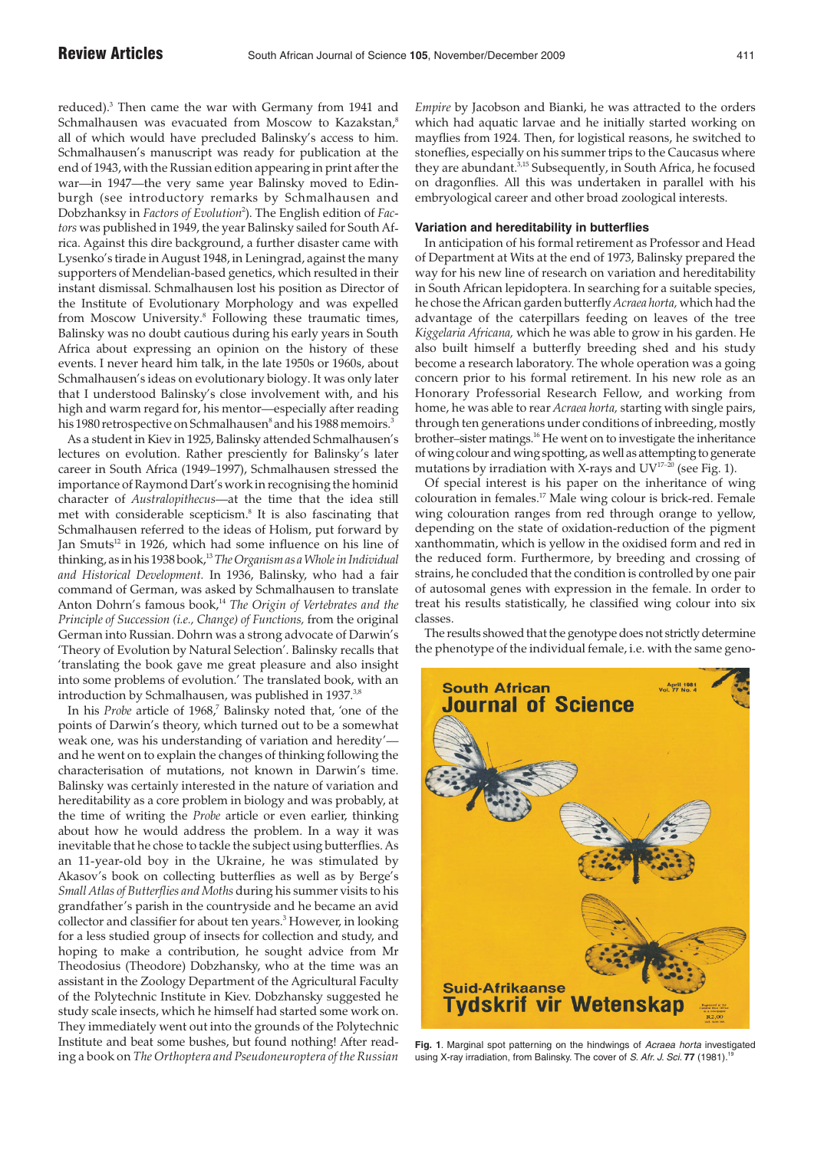reduced).<sup>3</sup> Then came the war with Germany from 1941 and Schmalhausen was evacuated from Moscow to Kazakstan,<sup>8</sup> all of which would have precluded Balinsky's access to him. Schmalhausen's manuscript was ready for publication at the end of 1943, with the Russian edition appearing in print after the war—in 1947—the very same year Balinsky moved to Edinburgh (see introductory remarks by Schmalhausen and Dobzhanksy in *Factors of Evolution*<sup>2</sup> ). The English edition of *Factors* was published in 1949, the year Balinsky sailed for South Africa. Against this dire background, a further disaster came with Lysenko's tirade in August 1948, in Leningrad, against the many supporters of Mendelian-based genetics, which resulted in their instant dismissal. Schmalhausen lost his position as Director of the Institute of Evolutionary Morphology and was expelled from Moscow University.8 Following these traumatic times, Balinsky was no doubt cautious during his early years in South Africa about expressing an opinion on the history of these events. I never heard him talk, in the late 1950s or 1960s, about Schmalhausen's ideas on evolutionary biology. It was only later that I understood Balinsky's close involvement with, and his high and warm regard for, his mentor—especially after reading his 1980 retrospective on Schmalhausen<sup>8</sup> and his 1988 memoirs.<sup>3</sup>

As a student in Kiev in 1925, Balinsky attended Schmalhausen's lectures on evolution. Rather presciently for Balinsky's later career in South Africa (1949–1997), Schmalhausen stressed the importance of Raymond Dart's work in recognising the hominid character of *Australopithecus*—at the time that the idea still met with considerable scepticism.8 It is also fascinating that Schmalhausen referred to the ideas of Holism, put forward by Jan Smuts<sup>12</sup> in 1926, which had some influence on his line of thinking, as in his 1938 book,13 *The Organism as a Whole in Individual and Historical Development.* In 1936, Balinsky, who had a fair command of German, was asked by Schmalhausen to translate Anton Dohrn's famous book,<sup>14</sup> The Origin of Vertebrates and the *Principle of Succession (i.e., Change) of Functions,* from the original German into Russian. Dohrn was a strong advocate of Darwin's 'Theory of Evolution by Natural Selection'. Balinsky recalls that 'translating the book gave me great pleasure and also insight into some problems of evolution.' The translated book, with an introduction by Schmalhausen, was published in 1937.<sup>3,8</sup>

In his *Probe* article of 1968,<sup>7</sup> Balinsky noted that, 'one of the points of Darwin's theory, which turned out to be a somewhat weak one, was his understanding of variation and heredity' and he went on to explain the changes of thinking following the characterisation of mutations, not known in Darwin's time. Balinsky was certainly interested in the nature of variation and hereditability as a core problem in biology and was probably, at the time of writing the *Probe* article or even earlier, thinking about how he would address the problem. In a way it was inevitable that he chose to tackle the subject using butterflies. As an 11-year-old boy in the Ukraine, he was stimulated by Akasov's book on collecting butterflies as well as by Berge's *Small Atlas of Butterflies and Moths* during his summer visits to his grandfather's parish in the countryside and he became an avid collector and classifier for about ten years.<sup>3</sup> However, in looking for a less studied group of insects for collection and study, and hoping to make a contribution, he sought advice from Mr Theodosius (Theodore) Dobzhansky, who at the time was an assistant in the Zoology Department of the Agricultural Faculty of the Polytechnic Institute in Kiev. Dobzhansky suggested he study scale insects, which he himself had started some work on. They immediately went out into the grounds of the Polytechnic Institute and beat some bushes, but found nothing! After reading a book on *The Orthoptera and Pseudoneuroptera of the Russian* *Empire* by Jacobson and Bianki, he was attracted to the orders which had aquatic larvae and he initially started working on mayflies from 1924. Then, for logistical reasons, he switched to stoneflies, especially on his summer trips to the Caucasus where they are abundant.<sup>3,15</sup> Subsequently, in South Africa, he focused on dragonflies. All this was undertaken in parallel with his embryological career and other broad zoological interests.

### **Variation and hereditability in butterflies**

In anticipation of his formal retirement as Professor and Head of Department at Wits at the end of 1973, Balinsky prepared the way for his new line of research on variation and hereditability in South African lepidoptera. In searching for a suitable species, he chose the African garden butterfly*Acraea horta,* which had the advantage of the caterpillars feeding on leaves of the tree *Kiggelaria Africana,* which he was able to grow in his garden. He also built himself a butterfly breeding shed and his study become a research laboratory. The whole operation was a going concern prior to his formal retirement. In his new role as an Honorary Professorial Research Fellow, and working from home, he was able to rear *Acraea horta,* starting with single pairs, through ten generations under conditions of inbreeding, mostly brother–sister matings.16 He went on to investigate the inheritance of wing colour and wing spotting, as well as attempting to generate mutations by irradiation with X-rays and  $UV^{17-20}$  (see Fig. 1).

Of special interest is his paper on the inheritance of wing colouration in females.17 Male wing colour is brick-red. Female wing colouration ranges from red through orange to yellow, depending on the state of oxidation-reduction of the pigment xanthommatin, which is yellow in the oxidised form and red in the reduced form. Furthermore, by breeding and crossing of strains, he concluded that the condition is controlled by one pair of autosomal genes with expression in the female. In order to treat his results statistically, he classified wing colour into six classes.

The results showed that the genotype does not strictly determine the phenotype of the individual female, i.e. with the same geno-



**Fig. 1**. Marginal spot patterning on the hindwings of Acraea horta investigated using X-ray irradiation, from Balinsky. The cover of S. Afr. J. Sci. 77 (1981).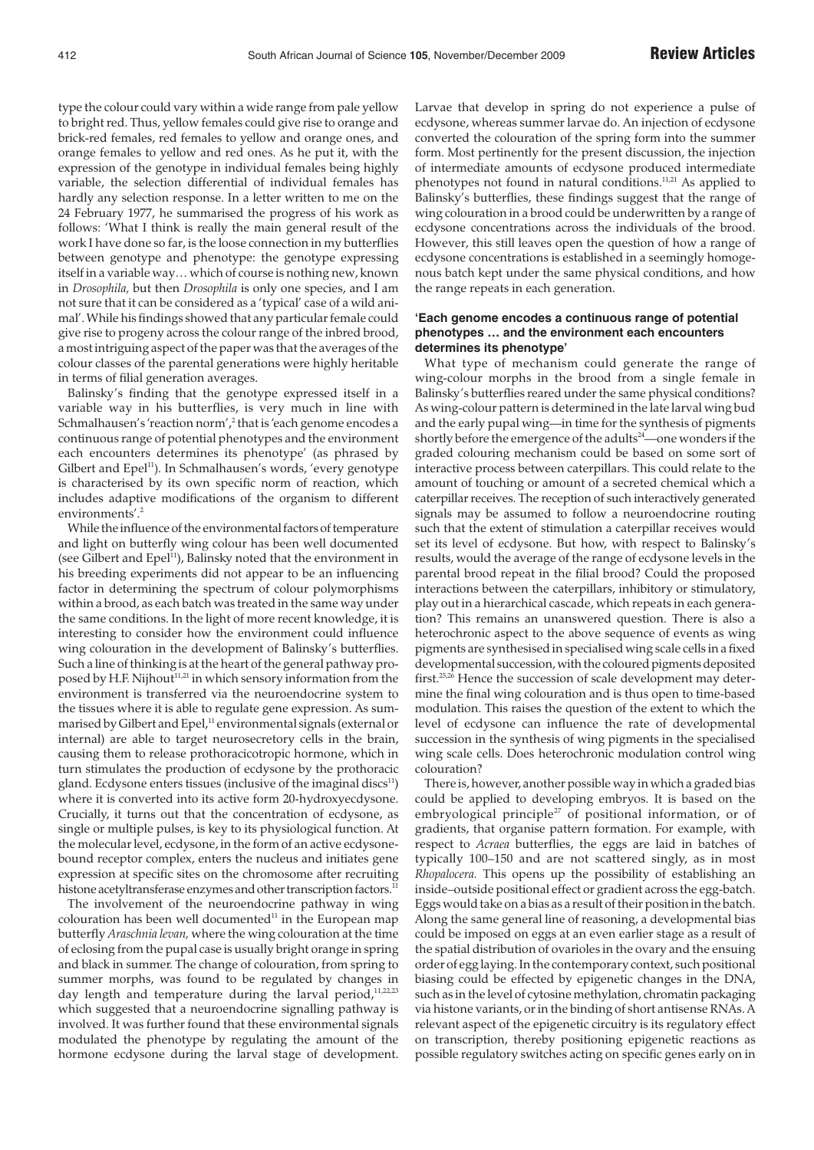type the colour could vary within a wide range from pale yellow to bright red. Thus, yellow females could give rise to orange and brick-red females, red females to yellow and orange ones, and orange females to yellow and red ones. As he put it, with the expression of the genotype in individual females being highly variable, the selection differential of individual females has hardly any selection response. In a letter written to me on the 24 February 1977, he summarised the progress of his work as follows: 'What I think is really the main general result of the work I have done so far, is the loose connection in my butterflies between genotype and phenotype: the genotype expressing itself in a variable way… which of course is nothing new, known in *Drosophila,* but then *Drosophila* is only one species, and I am not sure that it can be considered as a 'typical' case of a wild animal'. While his findings showed that any particular female could give rise to progeny across the colour range of the inbred brood, a most intriguing aspect of the paper was that the averages of the colour classes of the parental generations were highly heritable in terms of filial generation averages.

Balinsky's finding that the genotype expressed itself in a variable way in his butterflies, is very much in line with Schmalhausen's 'reaction norm',<sup>2</sup> that is 'each genome encodes a continuous range of potential phenotypes and the environment each encounters determines its phenotype' (as phrased by Gilbert and Epel<sup>11</sup>). In Schmalhausen's words, 'every genotype is characterised by its own specific norm of reaction, which includes adaptive modifications of the organism to different environments'.<sup>2</sup>

While the influence of the environmental factors of temperature and light on butterfly wing colour has been well documented (see Gilbert and Epel<sup>11</sup>), Balinsky noted that the environment in his breeding experiments did not appear to be an influencing factor in determining the spectrum of colour polymorphisms within a brood, as each batch was treated in the same way under the same conditions. In the light of more recent knowledge, it is interesting to consider how the environment could influence wing colouration in the development of Balinsky's butterflies. Such a line of thinking is at the heart of the general pathway proposed by H.F. Nijhout<sup>11,21</sup> in which sensory information from the environment is transferred via the neuroendocrine system to the tissues where it is able to regulate gene expression. As summarised by Gilbert and Epel,<sup>11</sup> environmental signals (external or internal) are able to target neurosecretory cells in the brain, causing them to release prothoracicotropic hormone, which in turn stimulates the production of ecdysone by the prothoracic gland. Ecdysone enters tissues (inclusive of the imaginal discs $11$ ) where it is converted into its active form 20-hydroxyecdysone. Crucially, it turns out that the concentration of ecdysone, as single or multiple pulses, is key to its physiological function. At the molecular level, ecdysone, in the form of an active ecdysonebound receptor complex, enters the nucleus and initiates gene expression at specific sites on the chromosome after recruiting histone acetyltransferase enzymes and other transcription factors.<sup>2</sup>

The involvement of the neuroendocrine pathway in wing colouration has been well documented $11$  in the European map butterfly *Araschnia levan,* where the wing colouration at the time of eclosing from the pupal case is usually bright orange in spring and black in summer. The change of colouration, from spring to summer morphs, was found to be regulated by changes in day length and temperature during the larval period,<sup>11,22,23</sup> which suggested that a neuroendocrine signalling pathway is involved. It was further found that these environmental signals modulated the phenotype by regulating the amount of the hormone ecdysone during the larval stage of development.

Larvae that develop in spring do not experience a pulse of ecdysone, whereas summer larvae do. An injection of ecdysone converted the colouration of the spring form into the summer form. Most pertinently for the present discussion, the injection of intermediate amounts of ecdysone produced intermediate phenotypes not found in natural conditions.<sup>11,21</sup> As applied to Balinsky's butterflies, these findings suggest that the range of wing colouration in a brood could be underwritten by a range of ecdysone concentrations across the individuals of the brood. However, this still leaves open the question of how a range of ecdysone concentrations is established in a seemingly homogenous batch kept under the same physical conditions, and how the range repeats in each generation.

# **'Each genome encodes a continuous range of potential phenotypes … and the environment each encounters determines its phenotype'**

What type of mechanism could generate the range of wing-colour morphs in the brood from a single female in Balinsky's butterflies reared under the same physical conditions? As wing-colour pattern is determined in the late larval wing bud and the early pupal wing—in time for the synthesis of pigments shortly before the emergence of the adults<sup>24</sup>—one wonders if the graded colouring mechanism could be based on some sort of interactive process between caterpillars. This could relate to the amount of touching or amount of a secreted chemical which a caterpillar receives. The reception of such interactively generated signals may be assumed to follow a neuroendocrine routing such that the extent of stimulation a caterpillar receives would set its level of ecdysone. But how, with respect to Balinsky's results, would the average of the range of ecdysone levels in the parental brood repeat in the filial brood? Could the proposed interactions between the caterpillars, inhibitory or stimulatory, play out in a hierarchical cascade, which repeats in each generation? This remains an unanswered question. There is also a heterochronic aspect to the above sequence of events as wing pigments are synthesised in specialised wing scale cells in a fixed developmental succession, with the coloured pigments deposited first.<sup>25,26</sup> Hence the succession of scale development may determine the final wing colouration and is thus open to time-based modulation. This raises the question of the extent to which the level of ecdysone can influence the rate of developmental succession in the synthesis of wing pigments in the specialised wing scale cells. Does heterochronic modulation control wing colouration?

There is, however, another possible way in which a graded bias could be applied to developing embryos. It is based on the embryological principle<sup>27</sup> of positional information, or of gradients, that organise pattern formation. For example, with respect to *Acraea* butterflies, the eggs are laid in batches of typically 100–150 and are not scattered singly, as in most *Rhopalocera.* This opens up the possibility of establishing an inside–outside positional effect or gradient across the egg-batch. Eggs would take on a bias as a result of their position in the batch. Along the same general line of reasoning, a developmental bias could be imposed on eggs at an even earlier stage as a result of the spatial distribution of ovarioles in the ovary and the ensuing order of egg laying. In the contemporary context, such positional biasing could be effected by epigenetic changes in the DNA, such as in the level of cytosine methylation, chromatin packaging via histone variants, or in the binding of short antisense RNAs. A relevant aspect of the epigenetic circuitry is its regulatory effect on transcription, thereby positioning epigenetic reactions as possible regulatory switches acting on specific genes early on in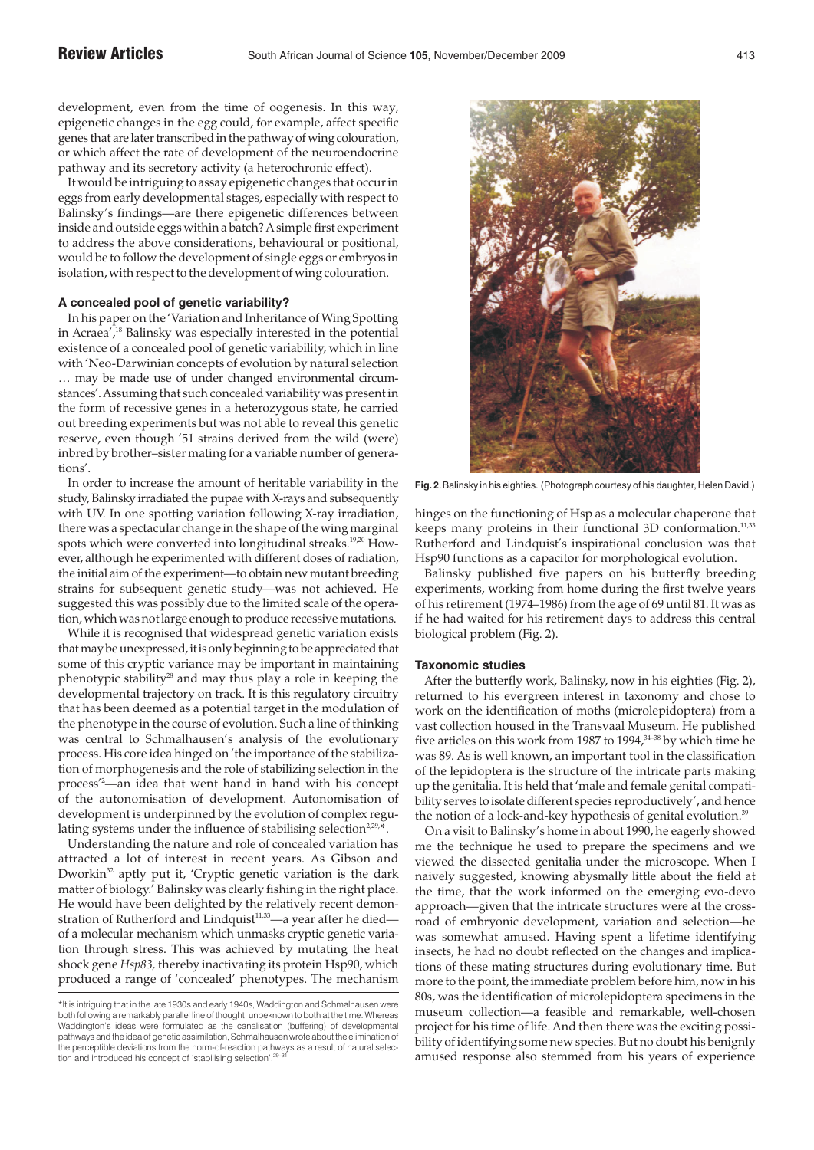development, even from the time of oogenesis. In this way, epigenetic changes in the egg could, for example, affect specific genes that are later transcribed in the pathway of wing colouration, or which affect the rate of development of the neuroendocrine pathway and its secretory activity (a heterochronic effect).

It would be intriguing to assay epigenetic changes that occur in eggs from early developmental stages, especially with respect to Balinsky's findings—are there epigenetic differences between inside and outside eggs within a batch? A simple first experiment to address the above considerations, behavioural or positional, would be to follow the development of single eggs or embryos in isolation, with respect to the development of wing colouration.

#### **A concealed pool of genetic variability?**

In his paper on the 'Variation and Inheritance of Wing Spotting in Acraea',<sup>18</sup> Balinsky was especially interested in the potential existence of a concealed pool of genetic variability, which in line with 'Neo-Darwinian concepts of evolution by natural selection … may be made use of under changed environmental circumstances'.Assuming that such concealed variability was present in the form of recessive genes in a heterozygous state, he carried out breeding experiments but was not able to reveal this genetic reserve, even though '51 strains derived from the wild (were) inbred by brother–sister mating for a variable number of generations'.

In order to increase the amount of heritable variability in the study, Balinsky irradiated the pupae with X-rays and subsequently with UV. In one spotting variation following X-ray irradiation, there was a spectacular change in the shape of the wing marginal spots which were converted into longitudinal streaks.<sup>19,20</sup> However, although he experimented with different doses of radiation, the initial aim of the experiment—to obtain new mutant breeding strains for subsequent genetic study—was not achieved. He suggested this was possibly due to the limited scale of the operation, which was not large enough to produce recessive mutations.

While it is recognised that widespread genetic variation exists that may be unexpressed, it is only beginning to be appreciated that some of this cryptic variance may be important in maintaining phenotypic stability<sup>28</sup> and may thus play a role in keeping the developmental trajectory on track. It is this regulatory circuitry that has been deemed as a potential target in the modulation of the phenotype in the course of evolution. Such a line of thinking was central to Schmalhausen's analysis of the evolutionary process. His core idea hinged on 'the importance of the stabilization of morphogenesis and the role of stabilizing selection in the process'2 —an idea that went hand in hand with his concept of the autonomisation of development. Autonomisation of development is underpinned by the evolution of complex regulating systems under the influence of stabilising selection<sup> $2,29,$ \*</sup>.

Understanding the nature and role of concealed variation has attracted a lot of interest in recent years. As Gibson and Dworkin<sup>32</sup> aptly put it, 'Cryptic genetic variation is the dark matter of biology.' Balinsky was clearly fishing in the right place. He would have been delighted by the relatively recent demonstration of Rutherford and Lindquist<sup>11,33</sup>—a year after he died of a molecular mechanism which unmasks cryptic genetic variation through stress. This was achieved by mutating the heat shock gene *Hsp83,* thereby inactivating its protein Hsp90, which produced a range of 'concealed' phenotypes. The mechanism



**Fig. 2**.Balinsky in his eighties. (Photograph courtesy of his daughter, Helen David.)

hinges on the functioning of Hsp as a molecular chaperone that keeps many proteins in their functional 3D conformation.<sup>11,33</sup> Rutherford and Lindquist's inspirational conclusion was that Hsp90 functions as a capacitor for morphological evolution.

Balinsky published five papers on his butterfly breeding experiments, working from home during the first twelve years of his retirement (1974–1986) from the age of 69 until 81. It was as if he had waited for his retirement days to address this central biological problem (Fig. 2).

#### **Taxonomic studies**

After the butterfly work, Balinsky, now in his eighties (Fig. 2), returned to his evergreen interest in taxonomy and chose to work on the identification of moths (microlepidoptera) from a vast collection housed in the Transvaal Museum. He published five articles on this work from 1987 to 1994,<sup>34-38</sup> by which time he was 89. As is well known, an important tool in the classification of the lepidoptera is the structure of the intricate parts making up the genitalia. It is held that 'male and female genital compatibility serves to isolate different species reproductively', and hence the notion of a lock-and-key hypothesis of genital evolution.<sup>39</sup>

On a visit to Balinsky's home in about 1990, he eagerly showed me the technique he used to prepare the specimens and we viewed the dissected genitalia under the microscope. When I naively suggested, knowing abysmally little about the field at the time, that the work informed on the emerging evo-devo approach—given that the intricate structures were at the crossroad of embryonic development, variation and selection—he was somewhat amused. Having spent a lifetime identifying insects, he had no doubt reflected on the changes and implications of these mating structures during evolutionary time. But more to the point, the immediate problem before him, now in his 80s, was the identification of microlepidoptera specimens in the museum collection—a feasible and remarkable, well-chosen project for his time of life. And then there was the exciting possibility of identifying some new species. But no doubt his benignly amused response also stemmed from his years of experience

<sup>\*</sup>It is intriguing that in the late 1930s and early 1940s, Waddington and Schmalhausen were both following a remarkably parallel line of thought, unbeknown to both at the time. Whereas Waddington's ideas were formulated as the canalisation (buffering) of developmental pathways and the idea of genetic assimilation, Schmalhausen wrote about the elimination of the perceptible deviations from the norm-of-reaction pathways as a result of natural selection and introduced his concept of 'stabilising selection'.<sup>29-3</sup>